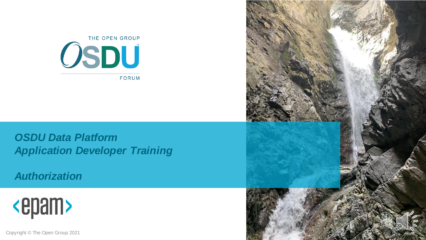

*OSDU Data Platform Application Developer Training*

*Authorization*



Copyright © The Open Group 2021

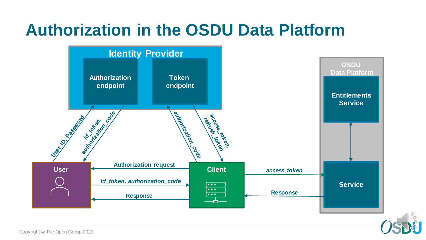

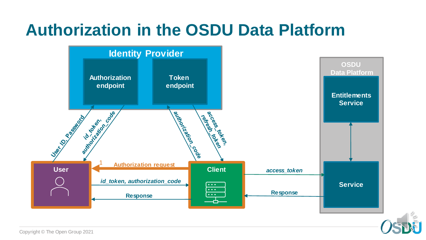

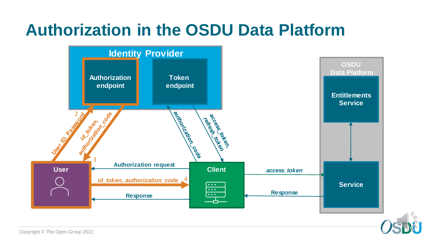

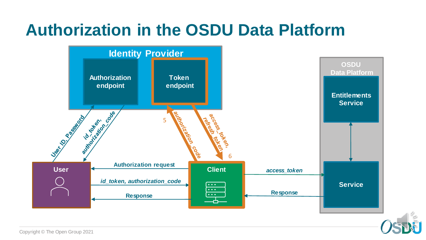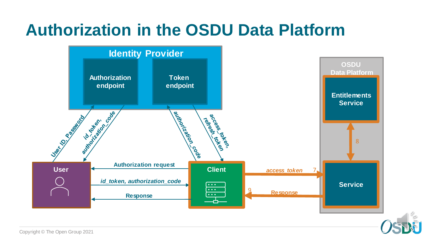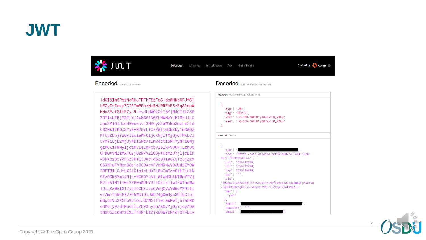#### **JWT**



Debugger Libraries Introduction Ask Get a T-shirt! Crafted by Auth0

#### **Fncoded** *PASTE A TOKEN HEPE*

1dCI6Im5PbzNaRHJPRFhFSzFqS1doWHNsSFJfS1 hFZyIsImtpZCI6Im5PbzNaRHJPRFhFSzFqS1doW HNsSFJfS1hFZyJ9.eyJhdWQi0iI0YjM40TliZS0 20TIwLTRjM2ItYjAwNS01NGZhNWMzYjE1MzUiLC Jpc3MiOiJodHRwczovL3N0cy53aW5kb3dzLm51d C82MWI2MDc3Yy0yM2QxLTQzZWItODk3Ny1mOWQz MTUyZDhjYzQvIiwiaWF0IjoxNjI1MjQy0TMwLCJ uYmYiOjE2MjUyNDI5MzAsImV4cCI6MTYyNTI0Nj gzMCwiYWNyIjoiMSIsImFpbyI6IkFVUUF1LzhUQ UFBQXVNZzMxTGZjQ2NVV2lQSytOcmZUYjljcElP R3RkbzBtYkRGZ3M1Q3JWcTdSZ0JIaGZSTzJjZzV GSXM1aTVWbnBScjc50DArVFVaMXNwVDJUd2ZYOW FBPT0iLCJhbXIiOlsicHdkIl0sImFwcGlkIjoiN GIzODk5YmUtNjkyMC00YzNiLWIwMDUtNTRmYTVj M2IxNTM1IiwiYXBwaWRhY3IiOiIxIiwiZW1haWw iOiJSZW5lX1Zvbl9Cb3JzdGVsOGVwYW0uY29tIi wiZmFtaWx5X25hbWUiOiJWb24gQm9yc3RlbCIsI mdpdmVuX25hbWUiOiJSZW5lIiwiaWRwIjoiaHR0 cHM6Ly9zdHMud2luZG93cy5uZXQvYjQxYjcyZDA tNGU5Zi00YzI2LThhNjktZjk00WYzNjdj0TFkLy

#### Decoded FOUT THE RAYLOAD AND SECRET





Copyright © The Open Group 2021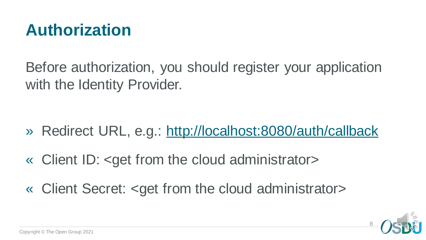

Before authorization, you should register your application with the Identity Provider.

- » Redirect URL, e.g.: <http://localhost:8080/auth/callback>
- « Client ID: <get from the cloud administrator>
- « Client Secret: <get from the cloud administrator>

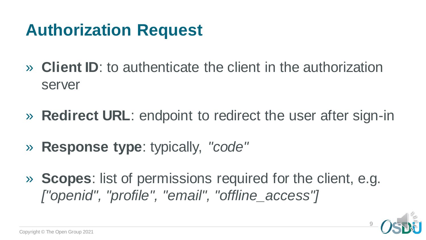## **Authorization Request**

- » **Client ID**: to authenticate the client in the authorization server
- » **Redirect URL**: endpoint to redirect the user after sign-in
- » **Response type**: typically, *"code"*
- » **Scopes**: list of permissions required for the client, e.g. *["openid", "profile", "email", "offline\_access"]*